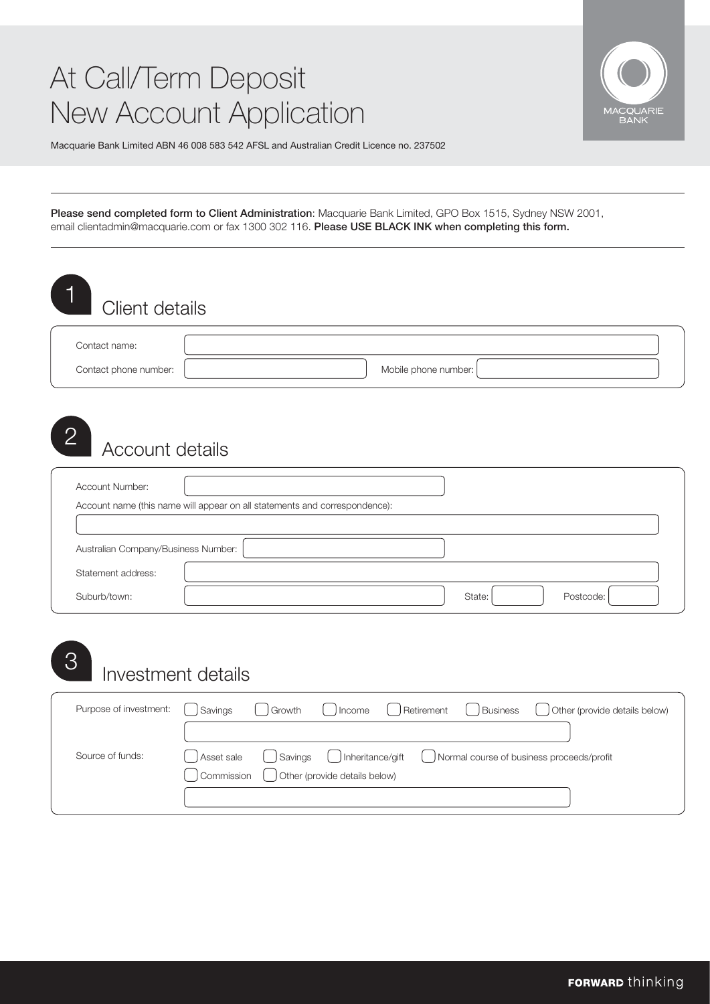### At Call/Term Deposit New Account Application



Macquarie Bank Limited ABN 46 008 583 542 AFSL and Australian Credit Licence no. 237502

Please send completed form to Client Administration: Macquarie Bank Limited, GPO Box 1515, Sydney NSW 2001, [email clientadmin@macquarie.com o](mailto: clientadmin@macquarie.com?subject=At Call/Term Deposit New Account Application)r fax 1300 302 116. Please USE BLACK INK when completing this form.

| Contact phone number:               |                                                                            | Mobile phone number: |           |
|-------------------------------------|----------------------------------------------------------------------------|----------------------|-----------|
|                                     |                                                                            |                      |           |
|                                     |                                                                            |                      |           |
| $\overline{2}$<br>Account details   |                                                                            |                      |           |
|                                     |                                                                            |                      |           |
| Account Number:                     |                                                                            |                      |           |
|                                     | Account name (this name will appear on all statements and correspondence): |                      |           |
|                                     |                                                                            |                      |           |
| Australian Company/Business Number: |                                                                            |                      |           |
| Statement address:                  |                                                                            |                      |           |
| Suburb/town:                        |                                                                            | State:               | Postcode: |
|                                     |                                                                            |                      |           |

| Source of funds: | Asset sale ( ) Savings ( ) Inheritance/gift ( ) Normal course of business proceeds/profit<br>Commission ( Other (provide details below) |
|------------------|-----------------------------------------------------------------------------------------------------------------------------------------|
|                  |                                                                                                                                         |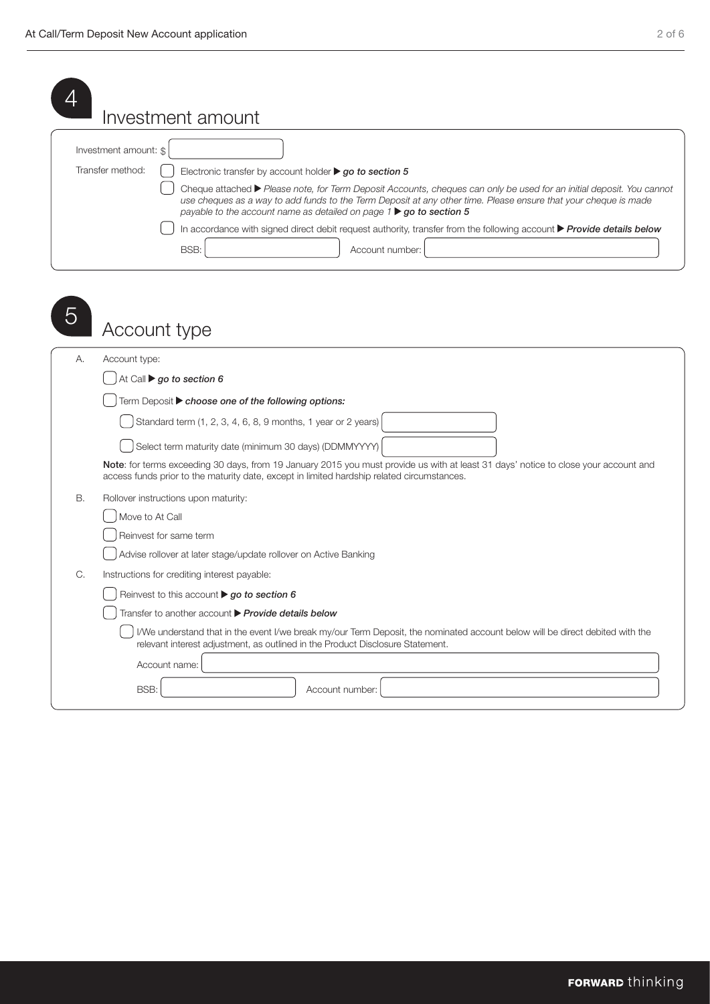|                                           | Investment amount                                                                                                                                                                                                                                                                                                                                                                                                                                                                                                                                                                |
|-------------------------------------------|----------------------------------------------------------------------------------------------------------------------------------------------------------------------------------------------------------------------------------------------------------------------------------------------------------------------------------------------------------------------------------------------------------------------------------------------------------------------------------------------------------------------------------------------------------------------------------|
| Investment amount: \$<br>Transfer method: | Electronic transfer by account holder $\triangleright$ go to section 5<br>Cheque attached ▶ Please note, for Term Deposit Accounts, cheques can only be used for an initial deposit. You cannot<br>use cheques as a way to add funds to the Term Deposit at any other time. Please ensure that your cheque is made<br>payable to the account name as detailed on page $1 \triangleright qo$ to section 5<br>In accordance with signed direct debit request authority, transfer from the following account $\blacktriangleright$ Provide details below<br>BSB:<br>Account number: |
| Account type                              |                                                                                                                                                                                                                                                                                                                                                                                                                                                                                                                                                                                  |
| Account type:<br>А.                       | At Call $\blacktriangleright$ go to section 6<br>Term Deposit > choose one of the following options:<br>Standard term (1, 2, 3, 4, 6, 8, 9 months, 1 year or 2 years)<br>Select term maturity date (minimum 30 days) (DDMMYYYY)<br>Note: for terms exceeding 30 days, from 19 January 2015 you must provide us with at least 31 days' notice to close your account and<br>access funds prior to the maturity date, except in limited hardship related circumstances.                                                                                                             |
| В.<br>Move to At Call                     | Rollover instructions upon maturity:<br>Reinvest for same term<br>Advise rollover at later stage/update rollover on Active Banking                                                                                                                                                                                                                                                                                                                                                                                                                                               |
| С.                                        | Instructions for crediting interest payable:<br>Reinvest to this account $\triangleright$ go to section 6<br>Transfer to another account Provide details below<br>I/We understand that in the event I/we break my/our Term Deposit, the nominated account below will be direct debited with the<br>relevant interest adjustment, as outlined in the Product Disclosure Statement.<br>Account name:                                                                                                                                                                               |
| BSB:                                      | Account number:                                                                                                                                                                                                                                                                                                                                                                                                                                                                                                                                                                  |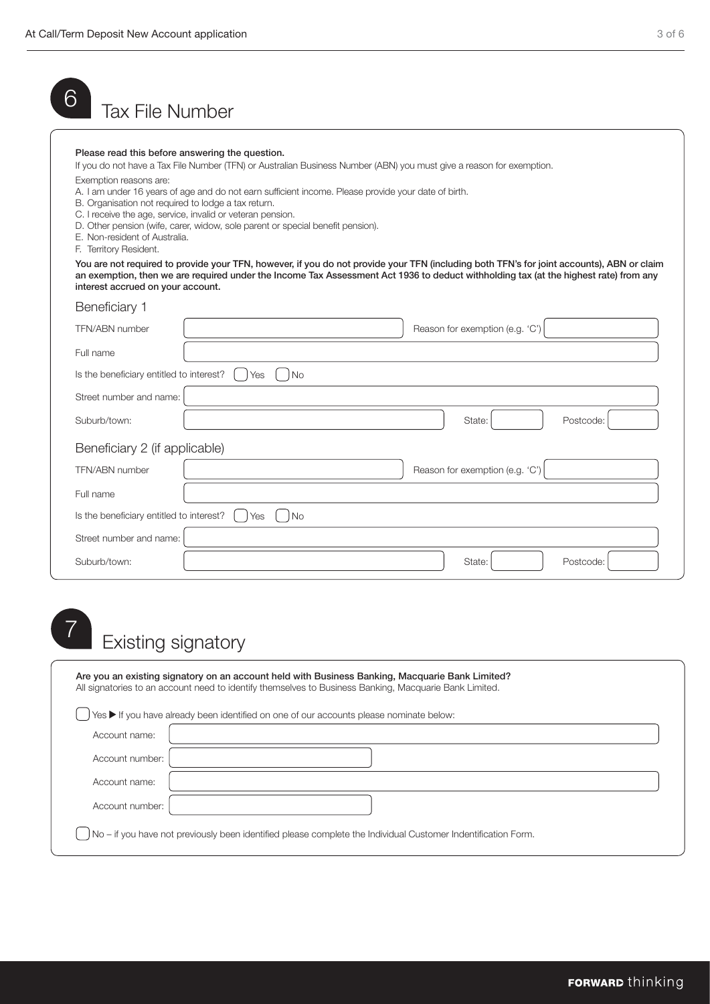| 6<br><b>Tax File Number</b>                                                                                                                                                                 |                                                                                                                                                                                                                                                                                                                                                                             |
|---------------------------------------------------------------------------------------------------------------------------------------------------------------------------------------------|-----------------------------------------------------------------------------------------------------------------------------------------------------------------------------------------------------------------------------------------------------------------------------------------------------------------------------------------------------------------------------|
| Please read this before answering the question.<br>Exemption reasons are:<br>B. Organisation not required to lodge a tax return.<br>E. Non-resident of Australia.<br>F. Territory Resident. | If you do not have a Tax File Number (TFN) or Australian Business Number (ABN) you must give a reason for exemption.<br>A. I am under 16 years of age and do not earn sufficient income. Please provide your date of birth.<br>C. I receive the age, service, invalid or veteran pension.<br>D. Other pension (wife, carer, widow, sole parent or special benefit pension). |
| interest accrued on your account.                                                                                                                                                           | You are not required to provide your TFN, however, if you do not provide your TFN (including both TFN's for joint accounts), ABN or claim<br>an exemption, then we are required under the Income Tax Assessment Act 1936 to deduct withholding tax (at the highest rate) from any                                                                                           |
| Beneficiary 1                                                                                                                                                                               |                                                                                                                                                                                                                                                                                                                                                                             |
| TFN/ABN number                                                                                                                                                                              | Reason for exemption (e.g. 'C')                                                                                                                                                                                                                                                                                                                                             |
| Full name                                                                                                                                                                                   |                                                                                                                                                                                                                                                                                                                                                                             |
| Is the beneficiary entitled to interest?                                                                                                                                                    | l No<br>Yes                                                                                                                                                                                                                                                                                                                                                                 |
| Street number and name:                                                                                                                                                                     |                                                                                                                                                                                                                                                                                                                                                                             |
| Suburb/town:                                                                                                                                                                                | Postcode:<br>State:                                                                                                                                                                                                                                                                                                                                                         |
| Beneficiary 2 (if applicable)                                                                                                                                                               |                                                                                                                                                                                                                                                                                                                                                                             |
| TFN/ABN number                                                                                                                                                                              | Reason for exemption (e.g. 'C')                                                                                                                                                                                                                                                                                                                                             |
| Full name                                                                                                                                                                                   |                                                                                                                                                                                                                                                                                                                                                                             |
| Is the beneficiary entitled to interest?                                                                                                                                                    | Yes<br><b>No</b>                                                                                                                                                                                                                                                                                                                                                            |
| Street number and name:                                                                                                                                                                     |                                                                                                                                                                                                                                                                                                                                                                             |
| Suburb/town:                                                                                                                                                                                | State:<br>Postcode:                                                                                                                                                                                                                                                                                                                                                         |

# Existing signatory <sup>7</sup>

|                 | Are you an existing signatory on an account held with Business Banking, Macquarie Bank Limited?<br>All signatories to an account need to identify themselves to Business Banking, Macquarie Bank Limited. |
|-----------------|-----------------------------------------------------------------------------------------------------------------------------------------------------------------------------------------------------------|
|                 | Yes ▶ If you have already been identified on one of our accounts please nominate below:                                                                                                                   |
| Account name:   |                                                                                                                                                                                                           |
| Account number: |                                                                                                                                                                                                           |
| Account name:   |                                                                                                                                                                                                           |
| Account number: |                                                                                                                                                                                                           |
|                 | No – if you have not previously been identified please complete the Individual Customer Indentification Form.                                                                                             |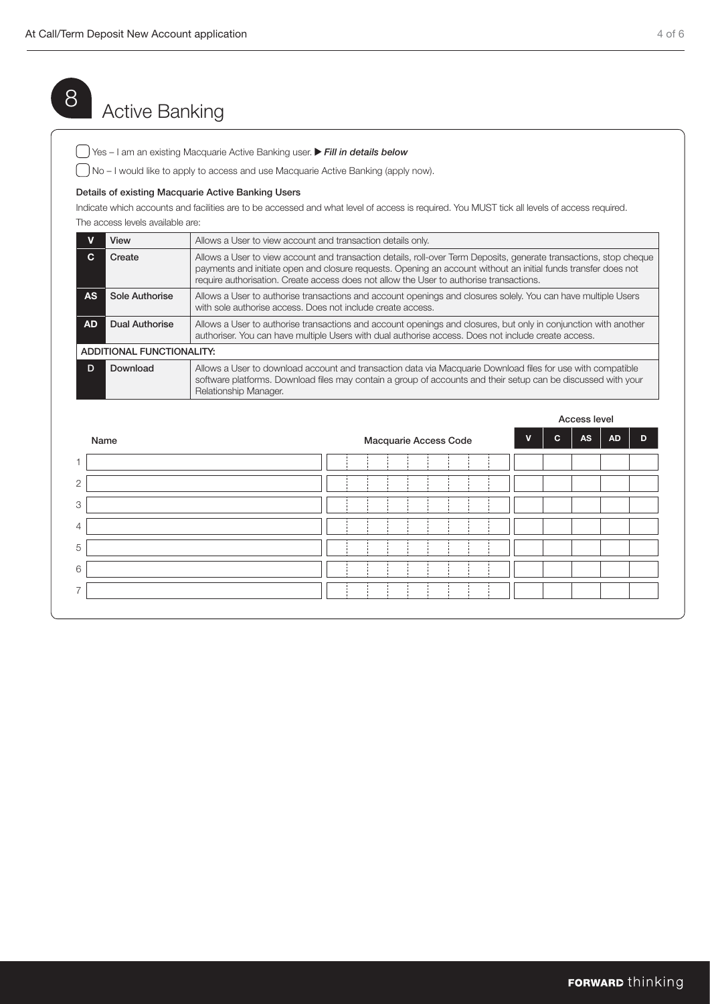## 8 Active Banking

Yes – I am an existing Macquarie Active Banking user. *Fill in details below*

No – I would like to apply to access and use Macquarie Active Banking (apply now).

#### Details of existing Macquarie Active Banking Users

Indicate which accounts and facilities are to be accessed and what level of access is required. You MUST tick all levels of access required. The access levels available are:

|           | View                      | Allows a User to view account and transaction details only.                                                                                                                                                                                                                                                                     |  |
|-----------|---------------------------|---------------------------------------------------------------------------------------------------------------------------------------------------------------------------------------------------------------------------------------------------------------------------------------------------------------------------------|--|
| C.        | Create                    | Allows a User to view account and transaction details, roll-over Term Deposits, generate transactions, stop cheque<br>payments and initiate open and closure requests. Opening an account without an initial funds transfer does not<br>require authorisation. Create access does not allow the User to authorise transactions. |  |
| <b>AS</b> | Sole Authorise            | Allows a User to authorise transactions and account openings and closures solely. You can have multiple Users<br>with sole authorise access. Does not include create access.                                                                                                                                                    |  |
| <b>AD</b> | <b>Dual Authorise</b>     | Allows a User to authorise transactions and account openings and closures, but only in conjunction with another<br>authoriser. You can have multiple Users with dual authorise access. Does not include create access.                                                                                                          |  |
|           | ADDITIONAL FUNCTIONALITY: |                                                                                                                                                                                                                                                                                                                                 |  |
| D         | Download                  | Allows a User to download account and transaction data via Macquarie Download files for use with compatible<br>software platforms. Download files may contain a group of accounts and their setup can be discussed with your<br>Relationship Manager.                                                                           |  |

|                          |  |                       |  |  |             |              | Access level |           |   |
|--------------------------|--|-----------------------|--|--|-------------|--------------|--------------|-----------|---|
| Name                     |  | Macquarie Access Code |  |  | $\mathbf v$ | $\mathbf{c}$ | AS           | <b>AD</b> | D |
|                          |  |                       |  |  |             |              |              |           |   |
| $\overline{c}$           |  |                       |  |  |             |              |              |           |   |
| 3                        |  |                       |  |  |             |              |              |           |   |
| $\overline{4}$           |  |                       |  |  |             |              |              |           |   |
| 5                        |  |                       |  |  |             |              |              |           |   |
| 6                        |  |                       |  |  |             |              |              |           |   |
| $\overline{\phantom{1}}$ |  |                       |  |  |             |              |              |           |   |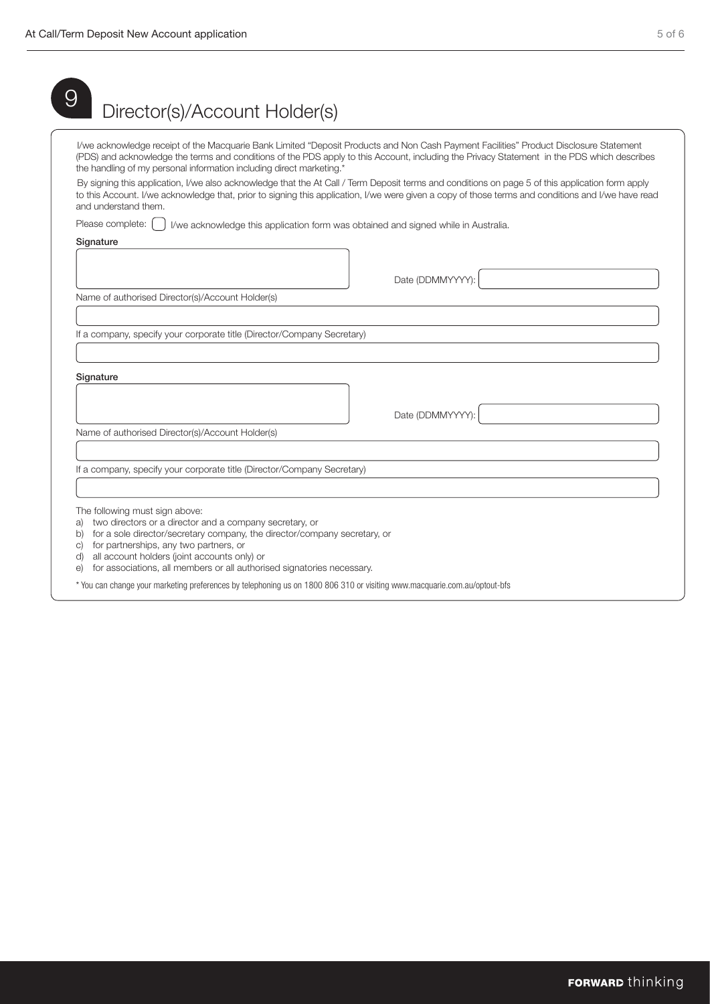|                                | I/we acknowledge receipt of the Macquarie Bank Limited "Deposit Products and Non Cash Payment Facilities" Product Disclosure Statement                                                                                                                                                                 |
|--------------------------------|--------------------------------------------------------------------------------------------------------------------------------------------------------------------------------------------------------------------------------------------------------------------------------------------------------|
|                                | (PDS) and acknowledge the terms and conditions of the PDS apply to this Account, including the Privacy Statement in the PDS which describes<br>the handling of my personal information including direct marketing.*                                                                                    |
| and understand them.           | By signing this application, I/we also acknowledge that the At Call / Term Deposit terms and conditions on page 5 of this application form apply<br>to this Account. I/we acknowledge that, prior to signing this application, I/we were given a copy of those terms and conditions and I/we have read |
| Please complete:               | I/we acknowledge this application form was obtained and signed while in Australia.                                                                                                                                                                                                                     |
| Signature                      |                                                                                                                                                                                                                                                                                                        |
|                                |                                                                                                                                                                                                                                                                                                        |
|                                | Date (DDMMYYYY):                                                                                                                                                                                                                                                                                       |
|                                | Name of authorised Director(s)/Account Holder(s)                                                                                                                                                                                                                                                       |
|                                |                                                                                                                                                                                                                                                                                                        |
|                                |                                                                                                                                                                                                                                                                                                        |
|                                | If a company, specify your corporate title (Director/Company Secretary)                                                                                                                                                                                                                                |
|                                |                                                                                                                                                                                                                                                                                                        |
|                                |                                                                                                                                                                                                                                                                                                        |
|                                |                                                                                                                                                                                                                                                                                                        |
|                                |                                                                                                                                                                                                                                                                                                        |
| Signature                      | Date (DDMMYYYY):                                                                                                                                                                                                                                                                                       |
|                                | Name of authorised Director(s)/Account Holder(s)                                                                                                                                                                                                                                                       |
|                                |                                                                                                                                                                                                                                                                                                        |
|                                | If a company, specify your corporate title (Director/Company Secretary)                                                                                                                                                                                                                                |
|                                |                                                                                                                                                                                                                                                                                                        |
| The following must sign above: |                                                                                                                                                                                                                                                                                                        |
| a)                             | two directors or a director and a company secretary, or<br>b) for a sole director/secretary company, the director/company secretary, or                                                                                                                                                                |
| C)                             | for partnerships, any two partners, or                                                                                                                                                                                                                                                                 |
| d)<br>$\Theta$                 | all account holders (joint accounts only) or<br>for associations, all members or all authorised signatories necessary.                                                                                                                                                                                 |